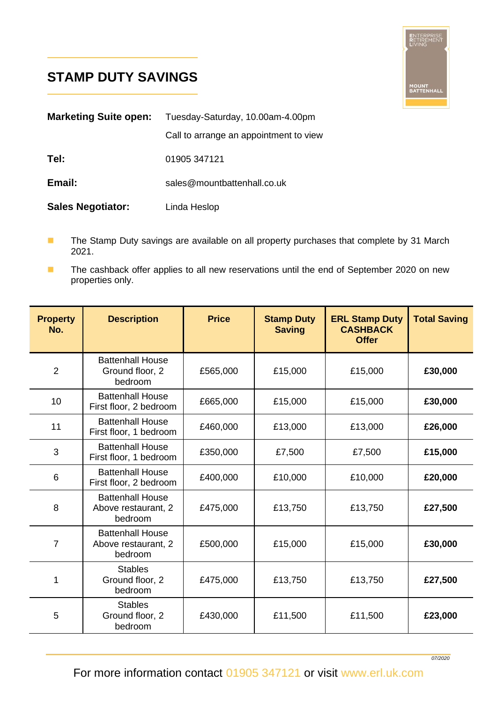## **STAMP DUTY SAVINGS**

L

L



| <b>Marketing Suite open:</b> | Tuesday-Saturday, 10.00am-4.00pm       |  |  |
|------------------------------|----------------------------------------|--|--|
|                              | Call to arrange an appointment to view |  |  |
| Tel:                         | 01905 347121                           |  |  |
| Email:                       | sales@mountbattenhall.co.uk            |  |  |
| <b>Sales Negotiator:</b>     | Linda Heslop                           |  |  |

- The Stamp Duty savings are available on all property purchases that complete by 31 March 2021.
- The cashback offer applies to all new reservations until the end of September 2020 on new properties only.

| <b>Property</b><br>No. | <b>Description</b>                                        | <b>Price</b> | <b>Stamp Duty</b><br><b>Saving</b> | <b>ERL Stamp Duty</b><br><b>CASHBACK</b><br><b>Offer</b> | <b>Total Saving</b> |
|------------------------|-----------------------------------------------------------|--------------|------------------------------------|----------------------------------------------------------|---------------------|
| $\overline{2}$         | <b>Battenhall House</b><br>Ground floor, 2<br>bedroom     | £565,000     | £15,000                            | £15,000                                                  | £30,000             |
| 10                     | <b>Battenhall House</b><br>First floor, 2 bedroom         | £665,000     | £15,000                            | £15,000                                                  | £30,000             |
| 11                     | <b>Battenhall House</b><br>First floor, 1 bedroom         | £460,000     | £13,000                            | £13,000                                                  | £26,000             |
| 3                      | <b>Battenhall House</b><br>First floor, 1 bedroom         | £350,000     | £7,500                             | £7,500                                                   | £15,000             |
| 6                      | <b>Battenhall House</b><br>First floor, 2 bedroom         | £400,000     | £10,000                            | £10,000                                                  | £20,000             |
| 8                      | <b>Battenhall House</b><br>Above restaurant, 2<br>bedroom | £475,000     | £13,750                            | £13,750                                                  | £27,500             |
| 7                      | <b>Battenhall House</b><br>Above restaurant, 2<br>bedroom | £500,000     | £15,000                            | £15,000                                                  | £30,000             |
| 1                      | <b>Stables</b><br>Ground floor, 2<br>bedroom              | £475,000     | £13,750                            | £13,750                                                  | £27,500             |
| 5                      | <b>Stables</b><br>Ground floor, 2<br>bedroom              | £430,000     | £11,500                            | £11,500                                                  | £23,000             |

For more information contact 01905 347121 or visit www.erl.uk.com